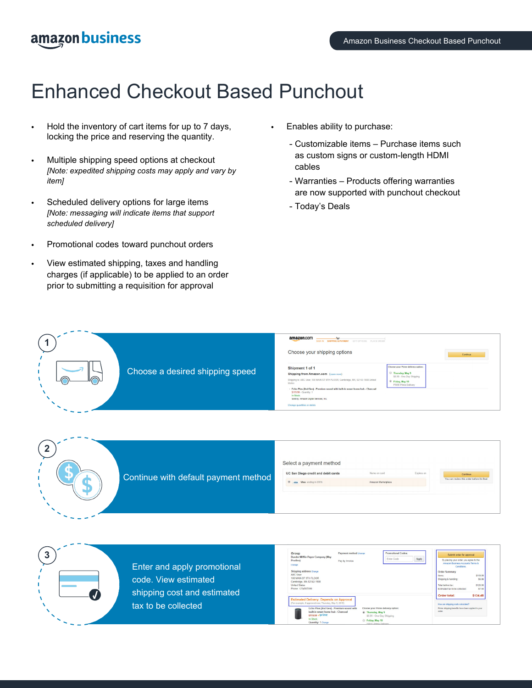### amazon business

# Enhanced Checkout Based Punchout

- Hold the inventory of cart items for up to 7 days, locking the price and reserving the quantity.
- Multiple shipping speed options at checkout *[Note: expedited shipping costs may apply and vary by item]*
- Scheduled delivery options for large items *[Note: messaging will indicate items that support scheduled delivery]*
- Promotional codes toward punchout orders
- View estimated shipping, taxes and handling charges (if applicable) to be applied to an order prior to submitting a requisition for approval
- Enables ability to purchase:
	- Customizable items Purchase items such as custom signs or custom-length HDMI cables
	- Warranties Products offering warranties are now supported with punchout checkout
	- Today's Deals

| $\overline{\phantom{a}}$ |                                 | amazon.com<br>v<br>SIGNIN SHIPPING & PAYMENT GIFT OPTIONS PLACE ORDER<br>Choose your shipping options                                                                                                                                                                                                                                                 | Continue                                                                                                                                        |
|--------------------------|---------------------------------|-------------------------------------------------------------------------------------------------------------------------------------------------------------------------------------------------------------------------------------------------------------------------------------------------------------------------------------------------------|-------------------------------------------------------------------------------------------------------------------------------------------------|
| ∩                        | Choose a desired shipping speed | Shipment 1 of 1<br>Shipping from Amazon.com (Learn more)<br>Shipping to: ABC User, 100 MAIN ST 9TH FLOOR, Cambridge, MA, 02142-1508 United<br>States<br>- Echo Plus (2nd Gen) - Premium sound with built-in smart home hub - Charcoal<br>\$119.99 - Quantity: 1<br>In Stock.<br>Sold by: Amazon Digital Services, Inc.<br>Change quantities or delete | Choose your Prime delivery option:<br>Thursday, May 9<br>\$6.99 - One-Day Shipping<br><sup>®</sup> Friday, May 10<br><b>FREE Prime Delivery</b> |





Enter and apply promotional code. View estimated shipping cost and estimated tax to be collected

| Group                                                 | Payment method Change        | <b>Promotional Codes:</b>          |       | Submit order for approval                                                   |          |
|-------------------------------------------------------|------------------------------|------------------------------------|-------|-----------------------------------------------------------------------------|----------|
| Dunder Mifflin Paper Company (May<br>Prodlovi         | Pay by Invoice               | <b>Enter Code</b>                  | Apply | By placing your order, you agree to the<br>Amazon Business Accounts Terms & |          |
| Channel                                               |                              |                                    |       | Conditions.                                                                 |          |
| Shipping address Change                               |                              |                                    |       | <b>Order Summary</b>                                                        |          |
| ARC Hear                                              |                              |                                    |       | Items:                                                                      | \$119.99 |
| 100 MAIN ST 9TH FLOOR<br>Cambridge, MA 02142-1508     |                              |                                    |       | Shipping & handling:                                                        | \$6.99   |
| <b>United States</b>                                  |                              |                                    |       | Total before text                                                           | \$126.98 |
| Phone: 1234567890                                     |                              |                                    |       | Estimated tax to be collected:                                              | \$7.50   |
|                                                       |                              |                                    |       | Order total:                                                                | \$134.48 |
| <b>Estimated Delivery: Depends on Approval</b>        |                              |                                    |       |                                                                             |          |
| (For example, if approved now, Thursday, May 9, 2019) |                              |                                    |       | How are shipping costs calculated?                                          |          |
| Echo Plus (2nd Gen) - Premium sound with              |                              | Choose your Prime delivery option: |       | Prime shipping benefits have been applied to your                           |          |
| built-in smart home hub - Charcoal                    | <sup>®</sup> Thursday, May 9 |                                    |       | certer                                                                      |          |
| s119.99 vprime                                        |                              | \$6.99 - One-Day Shipping          |       |                                                                             |          |
|                                                       |                              |                                    |       |                                                                             |          |
| In Stock                                              | Friday, May 10               |                                    |       |                                                                             |          |